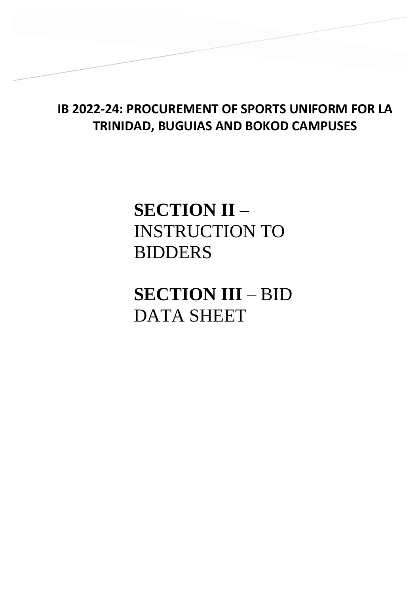## **IB 2022-24: PROCUREMENT OF SPORTS UNIFORM FOR LA TRINIDAD, BUGUIAS AND BOKOD CAMPUSES**

# **SECTION II –** INSTRUCTION TO BIDDERS

**SECTION III** – BID DATA SHEET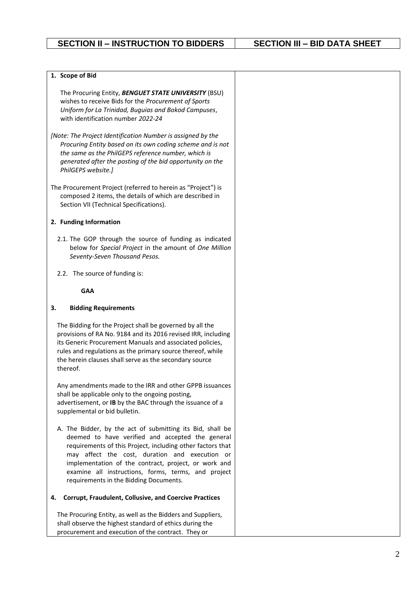## **1. Scope of Bid**

The Procuring Entity, *BENGUET STATE UNIVERSITY* (BSU) wishes to receive Bids for the *Procurement of Sports Uniform for La Trinidad, Buguias and Bokod Campuses*, with identification number *2022-24*

*[Note: The Project Identification Number is assigned by the Procuring Entity based on its own coding scheme and is not the same as the PhilGEPS reference number, which is generated after the posting of the bid opportunity on the PhilGEPS website.]* 

The Procurement Project (referred to herein as "Project") is composed 2 items, the details of which are described in Section VII (Technical Specifications).

### **2. Funding Information**

- 2.1. The GOP through the source of funding as indicated below for *Special Project* in the amount of *One Million Seventy-Seven Thousand Pesos.*
- 2.2. The source of funding is:

#### **GAA**

### **3. Bidding Requirements**

The Bidding for the Project shall be governed by all the provisions of RA No. 9184 and its 2016 revised IRR, including its Generic Procurement Manuals and associated policies, rules and regulations as the primary source thereof, while the herein clauses shall serve as the secondary source thereof.

Any amendments made to the IRR and other GPPB issuances shall be applicable only to the ongoing posting, advertisement, or **IB** by the BAC through the issuance of a supplemental or bid bulletin.

A. The Bidder, by the act of submitting its Bid, shall be deemed to have verified and accepted the general requirements of this Project, including other factors that may affect the cost, duration and execution or implementation of the contract, project, or work and examine all instructions, forms, terms, and project requirements in the Bidding Documents.

### **4. Corrupt, Fraudulent, Collusive, and Coercive Practices**

The Procuring Entity, as well as the Bidders and Suppliers, shall observe the highest standard of ethics during the procurement and execution of the contract. They or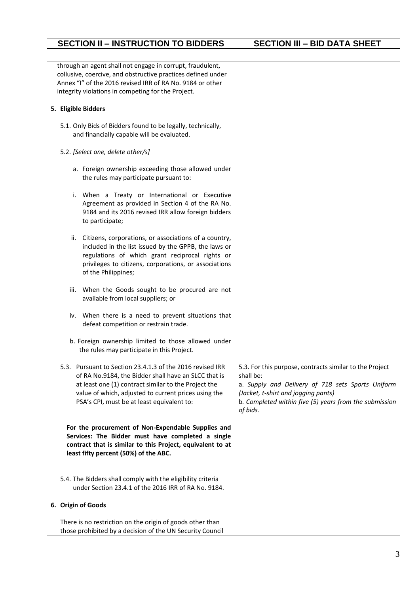| through an agent shall not engage in corrupt, fraudulent,<br>collusive, coercive, and obstructive practices defined under<br>Annex "I" of the 2016 revised IRR of RA No. 9184 or other<br>integrity violations in competing for the Project.                                    |                                                                                                                                                                                                                                        |
|---------------------------------------------------------------------------------------------------------------------------------------------------------------------------------------------------------------------------------------------------------------------------------|----------------------------------------------------------------------------------------------------------------------------------------------------------------------------------------------------------------------------------------|
| 5. Eligible Bidders                                                                                                                                                                                                                                                             |                                                                                                                                                                                                                                        |
| 5.1. Only Bids of Bidders found to be legally, technically,<br>and financially capable will be evaluated.                                                                                                                                                                       |                                                                                                                                                                                                                                        |
| 5.2. [Select one, delete other/s]                                                                                                                                                                                                                                               |                                                                                                                                                                                                                                        |
| a. Foreign ownership exceeding those allowed under<br>the rules may participate pursuant to:                                                                                                                                                                                    |                                                                                                                                                                                                                                        |
| i. When a Treaty or International or Executive<br>Agreement as provided in Section 4 of the RA No.<br>9184 and its 2016 revised IRR allow foreign bidders<br>to participate;                                                                                                    |                                                                                                                                                                                                                                        |
| Citizens, corporations, or associations of a country,<br>ii.<br>included in the list issued by the GPPB, the laws or<br>regulations of which grant reciprocal rights or<br>privileges to citizens, corporations, or associations<br>of the Philippines;                         |                                                                                                                                                                                                                                        |
| When the Goods sought to be procured are not<br>iii.<br>available from local suppliers; or                                                                                                                                                                                      |                                                                                                                                                                                                                                        |
| iv. When there is a need to prevent situations that<br>defeat competition or restrain trade.                                                                                                                                                                                    |                                                                                                                                                                                                                                        |
| b. Foreign ownership limited to those allowed under<br>the rules may participate in this Project.                                                                                                                                                                               |                                                                                                                                                                                                                                        |
| 5.3. Pursuant to Section 23.4.1.3 of the 2016 revised IRR<br>of RA No.9184, the Bidder shall have an SLCC that is<br>at least one (1) contract similar to the Project the<br>value of which, adjusted to current prices using the<br>PSA's CPI, must be at least equivalent to: | 5.3. For this purpose, contracts similar to the Project<br>shall be:<br>a. Supply and Delivery of 718 sets Sports Uniform<br>(Jacket, t-shirt and jogging pants)<br>b. Completed within five (5) years from the submission<br>of bids. |
| For the procurement of Non-Expendable Supplies and<br>Services: The Bidder must have completed a single<br>contract that is similar to this Project, equivalent to at<br>least fifty percent (50%) of the ABC.                                                                  |                                                                                                                                                                                                                                        |
| 5.4. The Bidders shall comply with the eligibility criteria<br>under Section 23.4.1 of the 2016 IRR of RA No. 9184.                                                                                                                                                             |                                                                                                                                                                                                                                        |
| 6. Origin of Goods                                                                                                                                                                                                                                                              |                                                                                                                                                                                                                                        |
| There is no restriction on the origin of goods other than<br>those prohibited by a decision of the UN Security Council                                                                                                                                                          |                                                                                                                                                                                                                                        |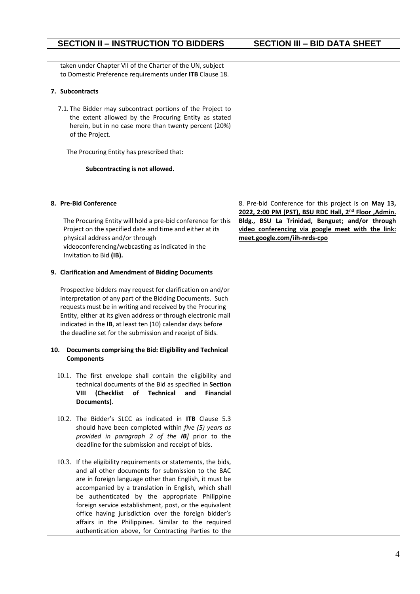## taken under Chapter VII of the Charter of the UN, subject to Domestic Preference requirements under **ITB** Clause 18. **7. Subcontracts** 7.1. The Bidder may subcontract portions of the Project to the extent allowed by the Procuring Entity as stated herein, but in no case more than twenty percent (20%) of the Project. The Procuring Entity has prescribed that: **Subcontracting is not allowed. 8. Pre-Bid Conference** The Procuring Entity will hold a pre-bid conference for this Project on the specified date and time and either at its physical address and/or through videoconferencing/webcasting as indicated in the Invitation to Bid **(IB). 9. Clarification and Amendment of Bidding Documents** Prospective bidders may request for clarification on and/or interpretation of any part of the Bidding Documents. Such requests must be in writing and received by the Procuring Entity, either at its given address or through electronic mail indicated in the **IB**, at least ten (10) calendar days before the deadline set for the submission and receipt of Bids. **10. Documents comprising the Bid: Eligibility and Technical Components** 10.1. The first envelope shall contain the eligibility and technical documents of the Bid as specified in **Section VIII (Checklist of Technical and Financial Documents)**. 10.2. The Bidder's SLCC as indicated in **ITB** Clause 5.3 should have been completed within *five (5) years as provided in paragraph 2 of the IB]* prior to the deadline for the submission and receipt of bids. 10.3. If the eligibility requirements or statements, the bids, and all other documents for submission to the BAC are in foreign language other than English, it must be accompanied by a translation in English, which shall be authenticated by the appropriate Philippine foreign service establishment, post, or the equivalent office having jurisdiction over the foreign bidder's affairs in the Philippines. Similar to the required 8. Pre-bid Conference for this project is on **May 13, 2022, 2:00 PM (PST), BSU RDC Hall, 2nd Floor ,Admin. Bldg., BSU La Trinidad, Benguet; and/or through video conferencing via google meet with the link: meet.google.com/iih-nrds-cpo**

## **SECTION II – INSTRUCTION TO BIDDERS SECTION III – BID DATA SHEET**

authentication above, for Contracting Parties to the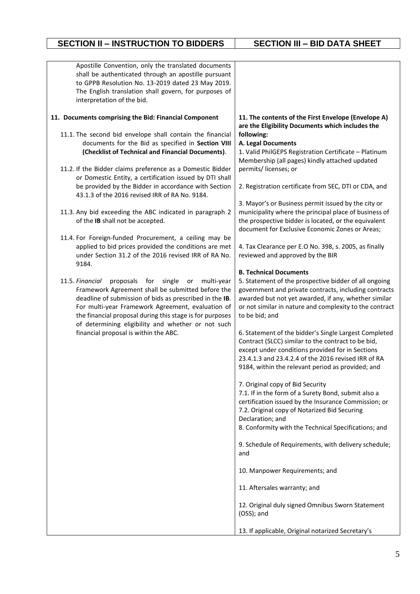## **SECTION II – INSTRUCTION TO BIDDERS** | **SECTION III – BID DATA SHEET**

| Apostille Convention, only the translated documents<br>shall be authenticated through an apostille pursuant  |                                                                                                               |
|--------------------------------------------------------------------------------------------------------------|---------------------------------------------------------------------------------------------------------------|
| to GPPB Resolution No. 13-2019 dated 23 May 2019.                                                            |                                                                                                               |
| The English translation shall govern, for purposes of                                                        |                                                                                                               |
| interpretation of the bid.                                                                                   |                                                                                                               |
| 11. Documents comprising the Bid: Financial Component                                                        | 11. The contents of the First Envelope (Envelope A)<br>are the Eligibility Documents which includes the       |
| 11.1. The second bid envelope shall contain the financial                                                    | following:                                                                                                    |
| documents for the Bid as specified in Section VIII                                                           | A. Legal Documents                                                                                            |
| (Checklist of Technical and Financial Documents).                                                            | 1. Valid PhilGEPS Registration Certificate - Platinum                                                         |
|                                                                                                              | Membership (all pages) kindly attached updated                                                                |
| 11.2. If the Bidder claims preference as a Domestic Bidder                                                   | permits/licenses; or                                                                                          |
| or Domestic Entity, a certification issued by DTI shall                                                      |                                                                                                               |
| be provided by the Bidder in accordance with Section                                                         | 2. Registration certificate from SEC, DTI or CDA, and                                                         |
| 43.1.3 of the 2016 revised IRR of RA No. 9184.                                                               | 3. Mayor's or Business permit issued by the city or                                                           |
| 11.3. Any bid exceeding the ABC indicated in paragraph 2                                                     | municipality where the principal place of business of                                                         |
| of the IB shall not be accepted.                                                                             | the prospective bidder is located, or the equivalent                                                          |
|                                                                                                              | document for Exclusive Economic Zones or Areas;                                                               |
| 11.4. For Foreign-funded Procurement, a ceiling may be                                                       |                                                                                                               |
| applied to bid prices provided the conditions are met                                                        | 4. Tax Clearance per E.O No. 398, s. 2005, as finally                                                         |
| under Section 31.2 of the 2016 revised IRR of RA No.                                                         | reviewed and approved by the BIR                                                                              |
| 9184.                                                                                                        |                                                                                                               |
|                                                                                                              | <b>B. Technical Documents</b>                                                                                 |
| 11.5. Financial<br>proposals for single or<br>multi-year                                                     | 5. Statement of the prospective bidder of all ongoing                                                         |
| Framework Agreement shall be submitted before the<br>deadline of submission of bids as prescribed in the IB. | government and private contracts, including contracts<br>awarded but not yet awarded, if any, whether similar |
| For multi-year Framework Agreement, evaluation of                                                            | or not similar in nature and complexity to the contract                                                       |
| the financial proposal during this stage is for purposes                                                     | to be bid; and                                                                                                |
| of determining eligibility and whether or not such                                                           |                                                                                                               |
| financial proposal is within the ABC.                                                                        | 6. Statement of the bidder's Single Largest Completed                                                         |
|                                                                                                              | Contract (SLCC) similar to the contract to be bid,                                                            |
|                                                                                                              | except under conditions provided for in Sections                                                              |
|                                                                                                              | 23.4.1.3 and 23.4.2.4 of the 2016 revised IRR of RA                                                           |
|                                                                                                              | 9184, within the relevant period as provided; and                                                             |
|                                                                                                              | 7. Original copy of Bid Security                                                                              |
|                                                                                                              | 7.1. If in the form of a Surety Bond, submit also a                                                           |
|                                                                                                              | certification issued by the Insurance Commission; or                                                          |
|                                                                                                              | 7.2. Original copy of Notarized Bid Securing                                                                  |
|                                                                                                              | Declaration; and                                                                                              |
|                                                                                                              | 8. Conformity with the Technical Specifications; and                                                          |
|                                                                                                              | 9. Schedule of Requirements, with delivery schedule;                                                          |
|                                                                                                              | and                                                                                                           |
|                                                                                                              |                                                                                                               |
|                                                                                                              | 10. Manpower Requirements; and                                                                                |
|                                                                                                              | 11. Aftersales warranty; and                                                                                  |
|                                                                                                              | 12. Original duly signed Omnibus Sworn Statement                                                              |
|                                                                                                              | (OSS); and                                                                                                    |
|                                                                                                              | 13. If applicable, Original notarized Secretary's                                                             |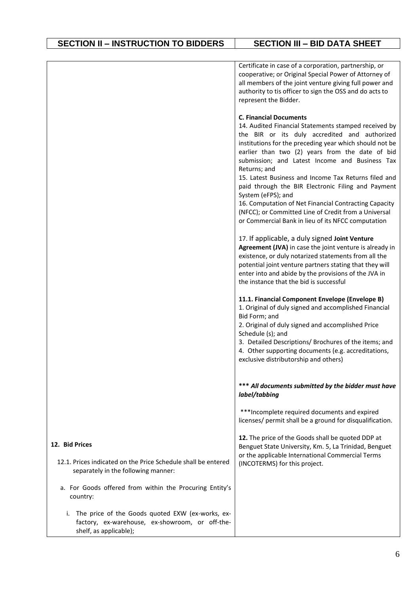|                                                                                                                                     | Certificate in case of a corporation, partnership, or<br>cooperative; or Original Special Power of Attorney of<br>all members of the joint venture giving full power and<br>authority to tis officer to sign the OSS and do acts to<br>represent the Bidder.                                                                                                                                                                                                                                                                                                                                                                      |
|-------------------------------------------------------------------------------------------------------------------------------------|-----------------------------------------------------------------------------------------------------------------------------------------------------------------------------------------------------------------------------------------------------------------------------------------------------------------------------------------------------------------------------------------------------------------------------------------------------------------------------------------------------------------------------------------------------------------------------------------------------------------------------------|
|                                                                                                                                     | <b>C. Financial Documents</b><br>14. Audited Financial Statements stamped received by<br>the BIR or its duly accredited and authorized<br>institutions for the preceding year which should not be<br>earlier than two (2) years from the date of bid<br>submission; and Latest Income and Business Tax<br>Returns; and<br>15. Latest Business and Income Tax Returns filed and<br>paid through the BIR Electronic Filing and Payment<br>System (eFPS); and<br>16. Computation of Net Financial Contracting Capacity<br>(NFCC); or Committed Line of Credit from a Universal<br>or Commercial Bank in lieu of its NFCC computation |
|                                                                                                                                     | 17. If applicable, a duly signed Joint Venture<br>Agreement (JVA) in case the joint venture is already in<br>existence, or duly notarized statements from all the<br>potential joint venture partners stating that they will<br>enter into and abide by the provisions of the JVA in<br>the instance that the bid is successful                                                                                                                                                                                                                                                                                                   |
|                                                                                                                                     | 11.1. Financial Component Envelope (Envelope B)<br>1. Original of duly signed and accomplished Financial<br>Bid Form; and<br>2. Original of duly signed and accomplished Price<br>Schedule (s); and                                                                                                                                                                                                                                                                                                                                                                                                                               |
|                                                                                                                                     | 3. Detailed Descriptions/ Brochures of the items; and<br>4. Other supporting documents (e.g. accreditations,<br>exclusive distributorship and others)                                                                                                                                                                                                                                                                                                                                                                                                                                                                             |
|                                                                                                                                     | *** All documents submitted by the bidder must have<br>label/tabbing                                                                                                                                                                                                                                                                                                                                                                                                                                                                                                                                                              |
|                                                                                                                                     | ***Incomplete required documents and expired<br>licenses/ permit shall be a ground for disqualification.                                                                                                                                                                                                                                                                                                                                                                                                                                                                                                                          |
| 12. Bid Prices                                                                                                                      | 12. The price of the Goods shall be quoted DDP at<br>Benguet State University, Km. 5, La Trinidad, Benguet<br>or the applicable International Commercial Terms                                                                                                                                                                                                                                                                                                                                                                                                                                                                    |
| 12.1. Prices indicated on the Price Schedule shall be entered<br>separately in the following manner:                                | (INCOTERMS) for this project.                                                                                                                                                                                                                                                                                                                                                                                                                                                                                                                                                                                                     |
| a. For Goods offered from within the Procuring Entity's<br>country:                                                                 |                                                                                                                                                                                                                                                                                                                                                                                                                                                                                                                                                                                                                                   |
| The price of the Goods quoted EXW (ex-works, ex-<br>i.<br>factory, ex-warehouse, ex-showroom, or off-the-<br>shelf, as applicable); |                                                                                                                                                                                                                                                                                                                                                                                                                                                                                                                                                                                                                                   |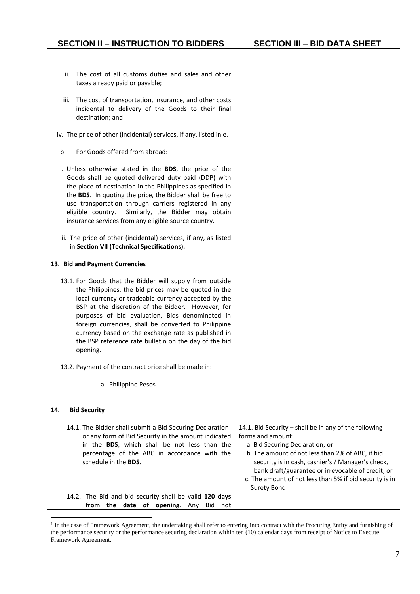## **SECTION II – INSTRUCTION TO BIDDERS SECTION III – BID DATA SHEET**

| ii. The cost of all customs duties and sales and other<br>taxes already paid or payable;                                                                                                                                                                                                                                                                                                                                                                             |                                                                                                                                                                                                                                                                                                                                                              |
|----------------------------------------------------------------------------------------------------------------------------------------------------------------------------------------------------------------------------------------------------------------------------------------------------------------------------------------------------------------------------------------------------------------------------------------------------------------------|--------------------------------------------------------------------------------------------------------------------------------------------------------------------------------------------------------------------------------------------------------------------------------------------------------------------------------------------------------------|
| iii. The cost of transportation, insurance, and other costs<br>incidental to delivery of the Goods to their final<br>destination; and                                                                                                                                                                                                                                                                                                                                |                                                                                                                                                                                                                                                                                                                                                              |
| iv. The price of other (incidental) services, if any, listed in e.                                                                                                                                                                                                                                                                                                                                                                                                   |                                                                                                                                                                                                                                                                                                                                                              |
| For Goods offered from abroad:<br>b.                                                                                                                                                                                                                                                                                                                                                                                                                                 |                                                                                                                                                                                                                                                                                                                                                              |
| i. Unless otherwise stated in the BDS, the price of the<br>Goods shall be quoted delivered duty paid (DDP) with<br>the place of destination in the Philippines as specified in<br>the BDS. In quoting the price, the Bidder shall be free to<br>use transportation through carriers registered in any<br>Similarly, the Bidder may obtain<br>eligible country.<br>insurance services from any eligible source country.                                               |                                                                                                                                                                                                                                                                                                                                                              |
| ii. The price of other (incidental) services, if any, as listed<br>in Section VII (Technical Specifications).                                                                                                                                                                                                                                                                                                                                                        |                                                                                                                                                                                                                                                                                                                                                              |
| 13. Bid and Payment Currencies                                                                                                                                                                                                                                                                                                                                                                                                                                       |                                                                                                                                                                                                                                                                                                                                                              |
| 13.1. For Goods that the Bidder will supply from outside<br>the Philippines, the bid prices may be quoted in the<br>local currency or tradeable currency accepted by the<br>BSP at the discretion of the Bidder. However, for<br>purposes of bid evaluation, Bids denominated in<br>foreign currencies, shall be converted to Philippine<br>currency based on the exchange rate as published in<br>the BSP reference rate bulletin on the day of the bid<br>opening. |                                                                                                                                                                                                                                                                                                                                                              |
| 13.2. Payment of the contract price shall be made in:                                                                                                                                                                                                                                                                                                                                                                                                                |                                                                                                                                                                                                                                                                                                                                                              |
| a. Philippine Pesos                                                                                                                                                                                                                                                                                                                                                                                                                                                  |                                                                                                                                                                                                                                                                                                                                                              |
| 14.<br><b>Bid Security</b>                                                                                                                                                                                                                                                                                                                                                                                                                                           |                                                                                                                                                                                                                                                                                                                                                              |
| 14.1. The Bidder shall submit a Bid Securing Declaration <sup>1</sup><br>or any form of Bid Security in the amount indicated<br>in the BDS, which shall be not less than the<br>percentage of the ABC in accordance with the<br>schedule in the BDS.<br>14.2. The Bid and bid security shall be valid 120 days                                                                                                                                                       | 14.1. Bid Security - shall be in any of the following<br>forms and amount:<br>a. Bid Securing Declaration; or<br>b. The amount of not less than 2% of ABC, if bid<br>security is in cash, cashier's / Manager's check,<br>bank draft/guarantee or irrevocable of credit; or<br>c. The amount of not less than 5% if bid security is in<br><b>Surety Bond</b> |
| from the date of opening. Any Bid<br>not                                                                                                                                                                                                                                                                                                                                                                                                                             |                                                                                                                                                                                                                                                                                                                                                              |

<sup>&</sup>lt;sup>1</sup> In the case of Framework Agreement, the undertaking shall refer to entering into contract with the Procuring Entity and furnishing of the performance security or the performance securing declaration within ten (10) calendar days from receipt of Notice to Execute Framework Agreement.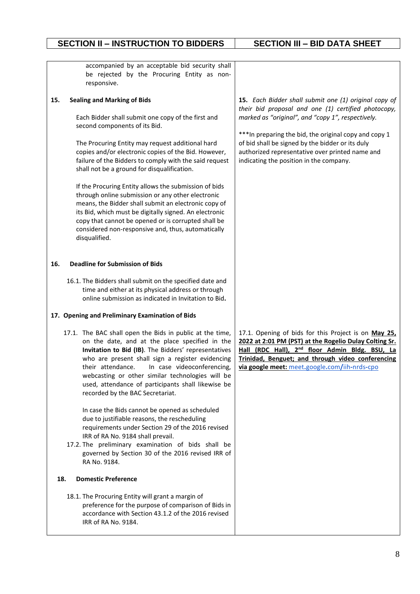| accompanied by an acceptable bid security shall<br>be rejected by the Procuring Entity as non-<br>responsive.                                                                                                                                                                                                                                                                                                                                                                                                                                                                                                                                                                                                                                  |                                                                                                                                                                                                                                                                                                                                                                               |
|------------------------------------------------------------------------------------------------------------------------------------------------------------------------------------------------------------------------------------------------------------------------------------------------------------------------------------------------------------------------------------------------------------------------------------------------------------------------------------------------------------------------------------------------------------------------------------------------------------------------------------------------------------------------------------------------------------------------------------------------|-------------------------------------------------------------------------------------------------------------------------------------------------------------------------------------------------------------------------------------------------------------------------------------------------------------------------------------------------------------------------------|
| <b>Sealing and Marking of Bids</b><br>15.<br>Each Bidder shall submit one copy of the first and<br>second components of its Bid.<br>The Procuring Entity may request additional hard<br>copies and/or electronic copies of the Bid. However,<br>failure of the Bidders to comply with the said request<br>shall not be a ground for disqualification.<br>If the Procuring Entity allows the submission of bids<br>through online submission or any other electronic<br>means, the Bidder shall submit an electronic copy of<br>its Bid, which must be digitally signed. An electronic<br>copy that cannot be opened or is corrupted shall be<br>considered non-responsive and, thus, automatically<br>disqualified.                            | 15. Each Bidder shall submit one (1) original copy of<br>their bid proposal and one (1) certified photocopy,<br>marked as "original", and "copy 1", respectively.<br>*** In preparing the bid, the original copy and copy 1<br>of bid shall be signed by the bidder or its duly<br>authorized representative over printed name and<br>indicating the position in the company. |
| <b>Deadline for Submission of Bids</b><br>16.<br>16.1. The Bidders shall submit on the specified date and<br>time and either at its physical address or through<br>online submission as indicated in Invitation to Bid.<br>17. Opening and Preliminary Examination of Bids                                                                                                                                                                                                                                                                                                                                                                                                                                                                     |                                                                                                                                                                                                                                                                                                                                                                               |
| 17.1. The BAC shall open the Bids in public at the time,<br>on the date, and at the place specified in the<br>Invitation to Bid (IB). The Bidders' representatives<br>who are present shall sign a register evidencing<br>their attendance.<br>In case videoconferencing,<br>webcasting or other similar technologies will be<br>used, attendance of participants shall likewise be<br>recorded by the BAC Secretariat.<br>In case the Bids cannot be opened as scheduled<br>due to justifiable reasons, the rescheduling<br>requirements under Section 29 of the 2016 revised<br>IRR of RA No. 9184 shall prevail.<br>17.2. The preliminary examination of bids shall be<br>governed by Section 30 of the 2016 revised IRR of<br>RA No. 9184. | 17.1. Opening of bids for this Project is on May 25,<br>2022 at 2:01 PM (PST) at the Rogelio Dulay Colting Sr.<br>Hall (RDC Hall), 2 <sup>nd</sup> floor Admin Bldg. BSU, La<br>Trinidad, Benguet; and through video conferencing<br>via google meet: meet.google.com/iih-nrds-cpo                                                                                            |
| 18.<br><b>Domestic Preference</b>                                                                                                                                                                                                                                                                                                                                                                                                                                                                                                                                                                                                                                                                                                              |                                                                                                                                                                                                                                                                                                                                                                               |
| 18.1. The Procuring Entity will grant a margin of<br>preference for the purpose of comparison of Bids in<br>accordance with Section 43.1.2 of the 2016 revised<br>IRR of RA No. 9184.                                                                                                                                                                                                                                                                                                                                                                                                                                                                                                                                                          |                                                                                                                                                                                                                                                                                                                                                                               |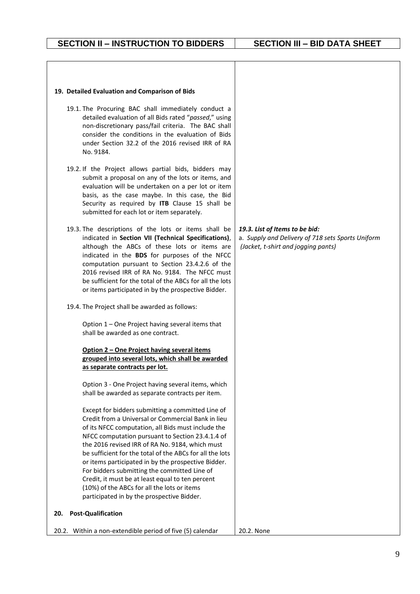#### **19. Detailed Evaluation and Comparison of Bids**

- 19.1. The Procuring BAC shall immediately conduct a detailed evaluation of all Bids rated "*passed*," using non-discretionary pass/fail criteria. The BAC shall consider the conditions in the evaluation of Bids under Section 32.2 of the 2016 revised IRR of RA No. 9184.
- 19.2. If the Project allows partial bids, bidders may submit a proposal on any of the lots or items, and evaluation will be undertaken on a per lot or item basis, as the case maybe. In this case, the Bid Security as required by **ITB** Clause 15 shall be submitted for each lot or item separately.
- 19.3. The descriptions of the lots or items shall be indicated in **Section VII (Technical Specifications)**, although the ABCs of these lots or items are indicated in the **BDS** for purposes of the NFCC computation pursuant to Section 23.4.2.6 of the 2016 revised IRR of RA No. 9184. The NFCC must be sufficient for the total of the ABCs for all the lots or items participated in by the prospective Bidder.
- 19.4. The Project shall be awarded as follows:

Option 1 – One Project having several items that shall be awarded as one contract.

### **Option 2 – One Project having several items grouped into several lots, which shall be awarded as separate contracts per lot.**

Option 3 - One Project having several items, which shall be awarded as separate contracts per item.

Except for bidders submitting a committed Line of Credit from a Universal or Commercial Bank in lieu of its NFCC computation, all Bids must include the NFCC computation pursuant to Section 23.4.1.4 of the 2016 revised IRR of RA No. 9184, which must be sufficient for the total of the ABCs for all the lots or items participated in by the prospective Bidder. For bidders submitting the committed Line of Credit, it must be at least equal to ten percent (10%) of the ABCs for all the lots or items participated in by the prospective Bidder.

## *19.3. List of Items to be bid:* a. *Supply and Delivery of 718 sets Sports Uniform*

*(Jacket, t-shirt and jogging pants)* 

20.2. Within a non-extendible period of five (5) calendar

**20. Post-Qualification**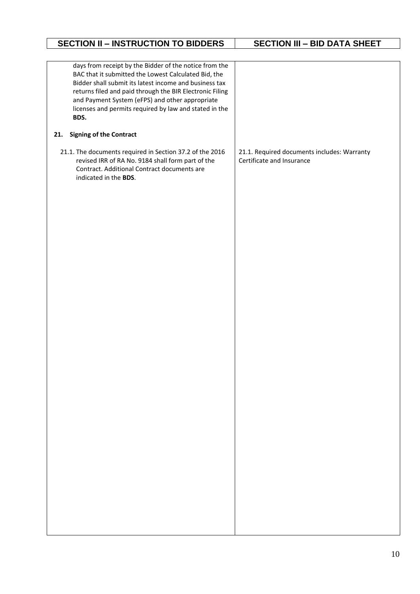| <b>SECTION II - INSTRUCTION TO BIDDERS</b>                                                                                                                                                                                                                                                                                                                | <b>SECTION III - BID DATA SHEET</b>                                      |
|-----------------------------------------------------------------------------------------------------------------------------------------------------------------------------------------------------------------------------------------------------------------------------------------------------------------------------------------------------------|--------------------------------------------------------------------------|
|                                                                                                                                                                                                                                                                                                                                                           |                                                                          |
| days from receipt by the Bidder of the notice from the<br>BAC that it submitted the Lowest Calculated Bid, the<br>Bidder shall submit its latest income and business tax<br>returns filed and paid through the BIR Electronic Filing<br>and Payment System (eFPS) and other appropriate<br>licenses and permits required by law and stated in the<br>BDS. |                                                                          |
| <b>Signing of the Contract</b><br>21.                                                                                                                                                                                                                                                                                                                     |                                                                          |
| 21.1. The documents required in Section 37.2 of the 2016<br>revised IRR of RA No. 9184 shall form part of the<br>Contract. Additional Contract documents are<br>indicated in the BDS.                                                                                                                                                                     | 21.1. Required documents includes: Warranty<br>Certificate and Insurance |
|                                                                                                                                                                                                                                                                                                                                                           |                                                                          |
|                                                                                                                                                                                                                                                                                                                                                           |                                                                          |
|                                                                                                                                                                                                                                                                                                                                                           |                                                                          |
|                                                                                                                                                                                                                                                                                                                                                           |                                                                          |
|                                                                                                                                                                                                                                                                                                                                                           |                                                                          |
|                                                                                                                                                                                                                                                                                                                                                           |                                                                          |
|                                                                                                                                                                                                                                                                                                                                                           |                                                                          |
|                                                                                                                                                                                                                                                                                                                                                           |                                                                          |
|                                                                                                                                                                                                                                                                                                                                                           |                                                                          |
|                                                                                                                                                                                                                                                                                                                                                           |                                                                          |